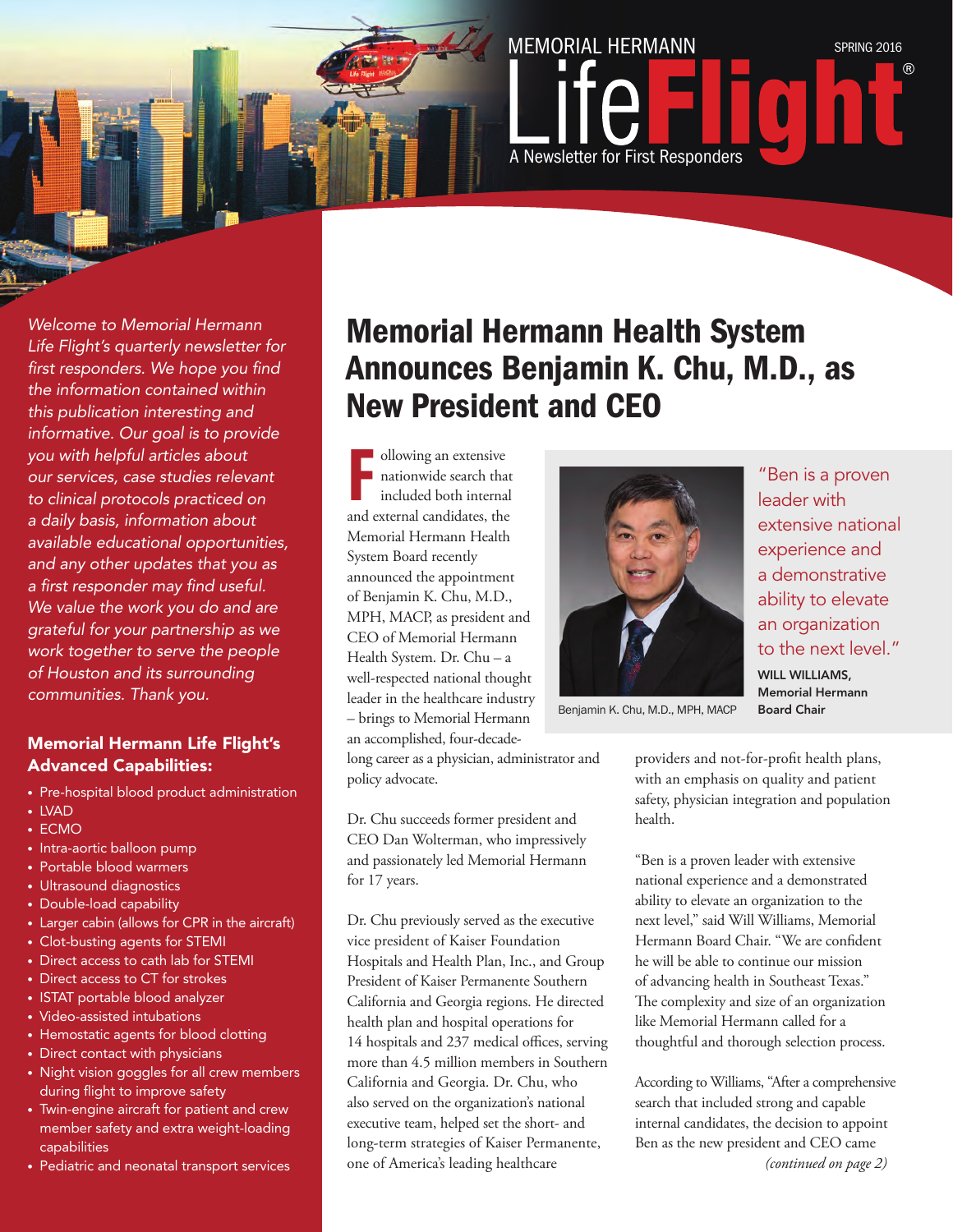

*Welcome to Memorial Hermann Life Flight's quarterly newsletter for first responders. We hope you find the information contained within this publication interesting and informative. Our goal is to provide you with helpful articles about our services, case studies relevant to clinical protocols practiced on a daily basis, information about available educational opportunities, and any other updates that you as a first responder may find useful. We value the work you do and are grateful for your partnership as we work together to serve the people of Houston and its surrounding communities. Thank you.* 

#### Memorial Hermann Life Flight's Advanced Capabilities:

- Pre-hospital blood product administration
- LVAD
- ECMO
- Intra-aortic balloon pump
- Portable blood warmers
- Ultrasound diagnostics
- Double-load capability
- Larger cabin (allows for CPR in the aircraft)
- Clot-busting agents for STEMI
- Direct access to cath lab for STEMI
- Direct access to CT for strokes
- ISTAT portable blood analyzer
- Video-assisted intubations
- Hemostatic agents for blood clotting
- Direct contact with physicians
- Night vision goggles for all crew members during flight to improve safety
- Twin-engine aircraft for patient and crew member safety and extra weight-loading capabilities
- Pediatric and neonatal transport services

#### Memorial Hermann Health System Announces Benjamin K. Chu, M.D., as New President and CEO

**F** ollowing an extensive nationwide search that included both internal and external candidates, the ollowing an extensive nationwide search that included both internal Memorial Hermann Health System Board recently announced the appointment of Benjamin K. Chu, M.D., MPH, MACP, as president and CEO of Memorial Hermann Health System. Dr. Chu – a well-respected national thought leader in the healthcare industry – brings to Memorial Hermann an accomplished, four-decade-

long career as a physician, administrator and policy advocate.

Dr. Chu succeeds former president and CEO Dan Wolterman, who impressively and passionately led Memorial Hermann for 17 years.

Dr. Chu previously served as the executive vice president of Kaiser Foundation Hospitals and Health Plan, Inc., and Group President of Kaiser Permanente Southern California and Georgia regions. He directed health plan and hospital operations for 14 hospitals and 237 medical offices, serving more than 4.5 million members in Southern California and Georgia. Dr. Chu, who also served on the organization's national executive team, helped set the short- and long-term strategies of Kaiser Permanente, one of America's leading healthcare



"Ben is a proven leader with extensive national experience and a demonstrative ability to elevate an organization to the next level." WILL WILLIAMS Memorial Hermann Board Chair

Benjamin K. Chu, M.D., MPH, MACP

providers and not-for-profit health plans, with an emphasis on quality and patient safety, physician integration and population health.

"Ben is a proven leader with extensive national experience and a demonstrated ability to elevate an organization to the next level," said Will Williams, Memorial Hermann Board Chair. "We are confident he will be able to continue our mission of advancing health in Southeast Texas." The complexity and size of an organization like Memorial Hermann called for a thoughtful and thorough selection process.

According to Williams, "After a comprehensive search that included strong and capable internal candidates, the decision to appoint Ben as the new president and CEO came *(continued on page 2)*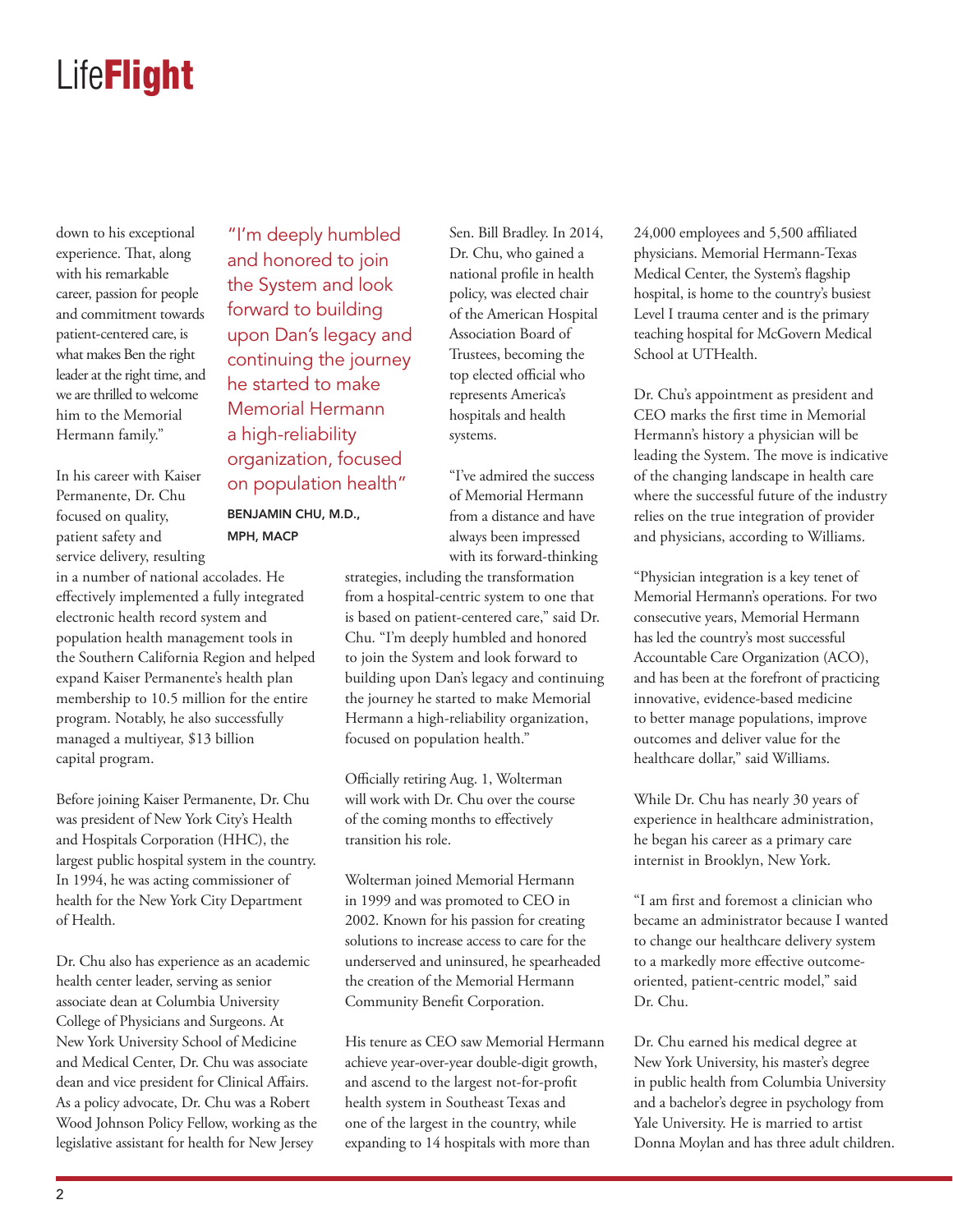down to his exceptional experience. That, along with his remarkable career, passion for people and commitment towards patient-centered care, is what makes Ben the right leader at the right time, and we are thrilled to welcome him to the Memorial Hermann family."

In his career with Kaiser Permanente, Dr. Chu focused on quality, patient safety and service delivery, resulting

in a number of national accolades. He effectively implemented a fully integrated electronic health record system and population health management tools in the Southern California Region and helped expand Kaiser Permanente's health plan membership to 10.5 million for the entire program. Notably, he also successfully managed a multiyear, \$13 billion capital program.

Before joining Kaiser Permanente, Dr. Chu was president of New York City's Health and Hospitals Corporation (HHC), the largest public hospital system in the country. In 1994, he was acting commissioner of health for the New York City Department of Health.

Dr. Chu also has experience as an academic health center leader, serving as senior associate dean at Columbia University College of Physicians and Surgeons. At New York University School of Medicine and Medical Center, Dr. Chu was associate dean and vice president for Clinical Affairs. As a policy advocate, Dr. Chu was a Robert Wood Johnson Policy Fellow, working as the legislative assistant for health for New Jersey

"I'm deeply humbled and honored to join the System and look forward to building upon Dan's legacy and continuing the journey he started to make Memorial Hermann a high-reliability organization, focused on population health"

BENJAMIN CHU, M.D., MPH, MACP

Sen. Bill Bradley. In 2014, Dr. Chu, who gained a national profile in health policy, was elected chair of the American Hospital Association Board of Trustees, becoming the top elected official who represents America's hospitals and health systems.

"I've admired the success of Memorial Hermann from a distance and have always been impressed with its forward-thinking

strategies, including the transformation from a hospital-centric system to one that is based on patient-centered care," said Dr. Chu. "I'm deeply humbled and honored to join the System and look forward to building upon Dan's legacy and continuing the journey he started to make Memorial Hermann a high-reliability organization, focused on population health."

Officially retiring Aug. 1, Wolterman will work with Dr. Chu over the course of the coming months to effectively transition his role.

Wolterman joined Memorial Hermann in 1999 and was promoted to CEO in 2002. Known for his passion for creating solutions to increase access to care for the underserved and uninsured, he spearheaded the creation of the Memorial Hermann Community Benefit Corporation.

His tenure as CEO saw Memorial Hermann achieve year-over-year double-digit growth, and ascend to the largest not-for-profit health system in Southeast Texas and one of the largest in the country, while expanding to 14 hospitals with more than

24,000 employees and 5,500 affiliated physicians. Memorial Hermann-Texas Medical Center, the System's flagship hospital, is home to the country's busiest Level I trauma center and is the primary teaching hospital for McGovern Medical School at UTHealth.

Dr. Chu's appointment as president and CEO marks the first time in Memorial Hermann's history a physician will be leading the System. The move is indicative of the changing landscape in health care where the successful future of the industry relies on the true integration of provider and physicians, according to Williams.

"Physician integration is a key tenet of Memorial Hermann's operations. For two consecutive years, Memorial Hermann has led the country's most successful Accountable Care Organization (ACO), and has been at the forefront of practicing innovative, evidence-based medicine to better manage populations, improve outcomes and deliver value for the healthcare dollar," said Williams.

While Dr. Chu has nearly 30 years of experience in healthcare administration, he began his career as a primary care internist in Brooklyn, New York.

"I am first and foremost a clinician who became an administrator because I wanted to change our healthcare delivery system to a markedly more effective outcomeoriented, patient-centric model," said Dr. Chu.

Dr. Chu earned his medical degree at New York University, his master's degree in public health from Columbia University and a bachelor's degree in psychology from Yale University. He is married to artist Donna Moylan and has three adult children.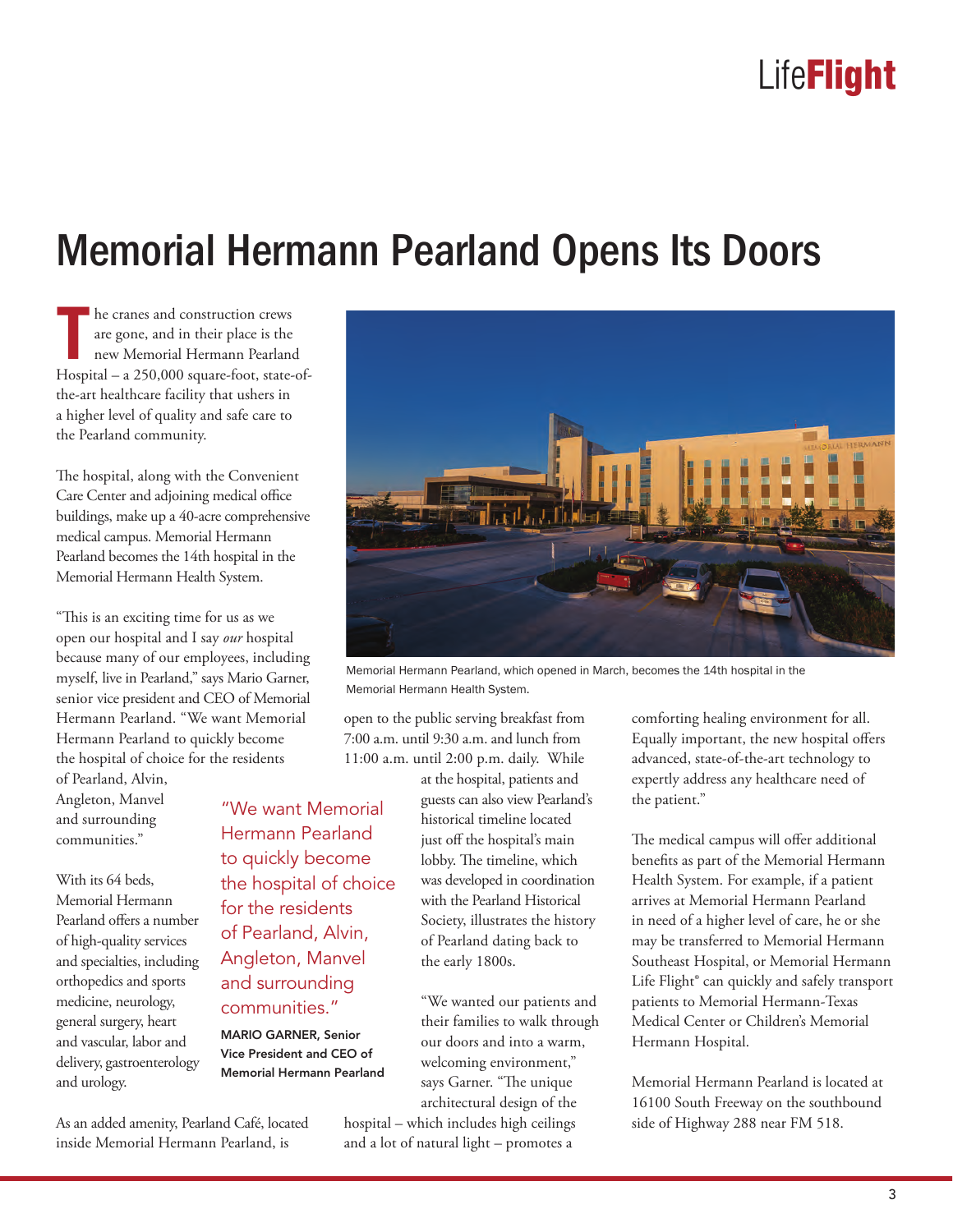# Memorial Hermann Pearland Opens Its Doors

**T** he cranes and construction crews are gone, and in their place is the new Memorial Hermann Pearland Hospital – a 250,000 square-foot, state-ofthe-art healthcare facility that ushers in a higher level of quality and safe care to the Pearland community.

The hospital, along with the Convenient Care Center and adjoining medical office buildings, make up a 40-acre comprehensive medical campus. Memorial Hermann Pearland becomes the 14th hospital in the Memorial Hermann Health System.

"This is an exciting time for us as we open our hospital and I say *our* hospital because many of our employees, including myself, live in Pearland," says Mario Garner, senior vice president and CEO of Memorial Hermann Pearland. "We want Memorial Hermann Pearland to quickly become the hospital of choice for the residents

of Pearland, Alvin, Angleton, Manvel and surrounding communities."

With its 64 beds, Memorial Hermann Pearland offers a number of high-quality services and specialties, including orthopedics and sports medicine, neurology, general surgery, heart and vascular, labor and delivery, gastroenterology and urology.

As an added amenity, Pearland Café, located inside Memorial Hermann Pearland, is

communities." MARIO GARNER, Senior Vice President and CEO of Memorial Hermann Pearland



Memorial Hermann Pearland, which opened in March, becomes the 14th hospital in the Memorial Hermann Health System.

open to the public serving breakfast from 7:00 a.m. until 9:30 a.m. and lunch from 11:00 a.m. until 2:00 p.m. daily. While

at the hospital, patients and guests can also view Pearland's historical timeline located just off the hospital's main lobby. The timeline, which was developed in coordination with the Pearland Historical Society, illustrates the history of Pearland dating back to the early 1800s. "We want Memorial Hermann Pearland to quickly become the hospital of choice for the residents of Pearland, Alvin, Angleton, Manvel and surrounding

> "We wanted our patients and their families to walk through our doors and into a warm, welcoming environment," says Garner. "The unique architectural design of the

hospital – which includes high ceilings and a lot of natural light – promotes a

comforting healing environment for all. Equally important, the new hospital offers advanced, state-of-the-art technology to expertly address any healthcare need of the patient."

The medical campus will offer additional benefits as part of the Memorial Hermann Health System. For example, if a patient arrives at Memorial Hermann Pearland in need of a higher level of care, he or she may be transferred to Memorial Hermann Southeast Hospital, or Memorial Hermann Life Flight® can quickly and safely transport patients to Memorial Hermann-Texas Medical Center or Children's Memorial Hermann Hospital.

Memorial Hermann Pearland is located at 16100 South Freeway on the southbound side of Highway 288 near FM 518.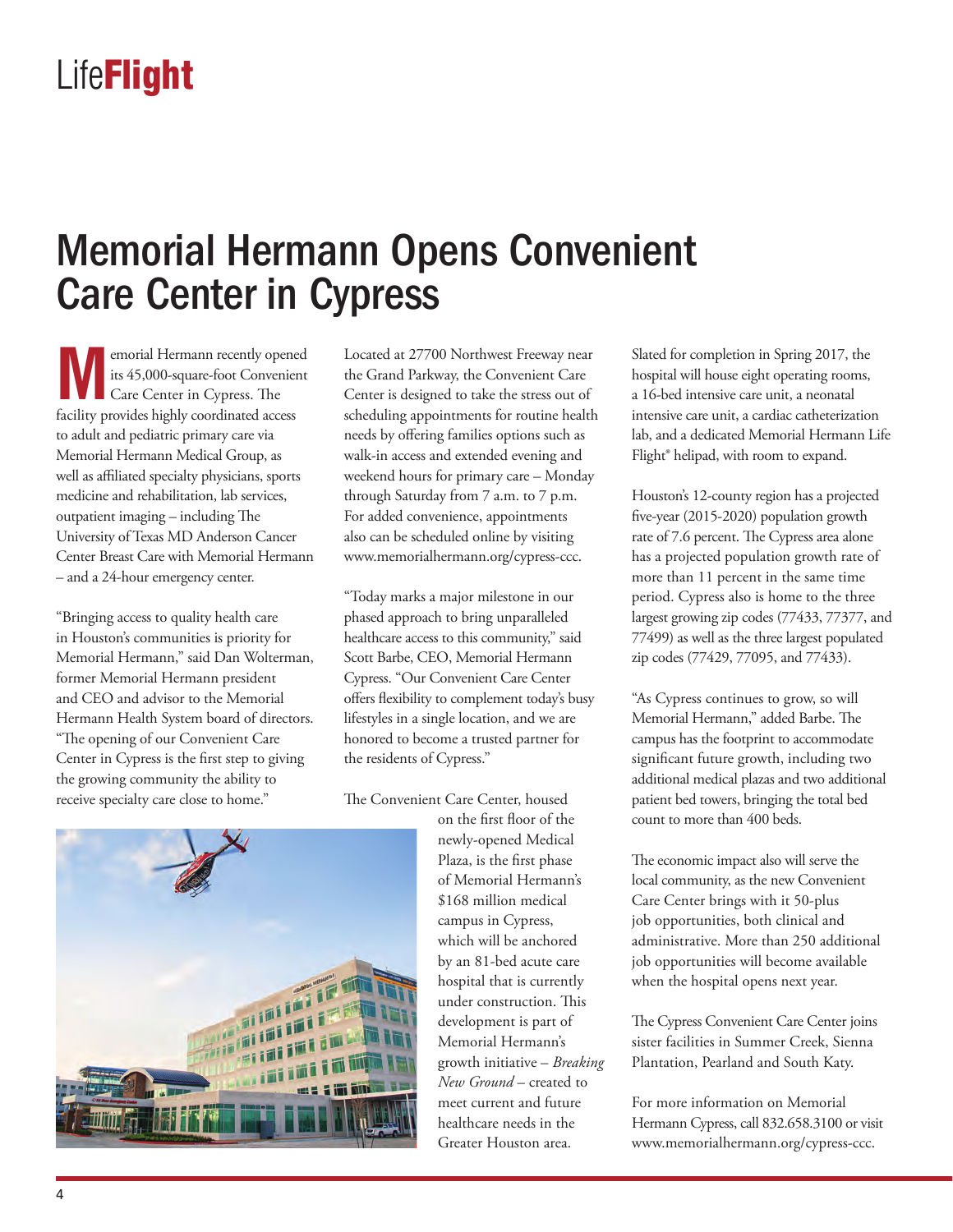## Memorial Hermann Opens Convenient Care Center in Cypress

**MA**emorial Hermann recently opened<br>
its 45,000-square-foot Convenient<br>
Care Center in Cypress. The its 45,000-square-foot Convenient Care Center in Cypress. The facility provides highly coordinated access to adult and pediatric primary care via Memorial Hermann Medical Group, as well as affiliated specialty physicians, sports medicine and rehabilitation, lab services, outpatient imaging – including The University of Texas MD Anderson Cancer Center Breast Care with Memorial Hermann – and a 24-hour emergency center.

"Bringing access to quality health care in Houston's communities is priority for Memorial Hermann," said Dan Wolterman, former Memorial Hermann president and CEO and advisor to the Memorial Hermann Health System board of directors. "The opening of our Convenient Care Center in Cypress is the first step to giving the growing community the ability to receive specialty care close to home."

Located at 27700 Northwest Freeway near the Grand Parkway, the Convenient Care Center is designed to take the stress out of scheduling appointments for routine health needs by offering families options such as walk-in access and extended evening and weekend hours for primary care – Monday through Saturday from 7 a.m. to 7 p.m. For added convenience, appointments also can be scheduled online by visiting www.memorialhermann.org/cypress-ccc.

"Today marks a major milestone in our phased approach to bring unparalleled healthcare access to this community," said Scott Barbe, CEO, Memorial Hermann Cypress. "Our Convenient Care Center offers flexibility to complement today's busy lifestyles in a single location, and we are honored to become a trusted partner for the residents of Cypress."

The Convenient Care Center, housed

on the first floor of the newly-opened Medical Plaza, is the first phase of Memorial Hermann's \$168 million medical campus in Cypress, which will be anchored by an 81-bed acute care hospital that is currently under construction. This development is part of Memorial Hermann's growth initiative – *Breaking New Ground* – created to meet current and future healthcare needs in the Greater Houston area.

Slated for completion in Spring 2017, the hospital will house eight operating rooms, a 16-bed intensive care unit, a neonatal intensive care unit, a cardiac catheterization lab, and a dedicated Memorial Hermann Life Flight® helipad, with room to expand.

Houston's 12-county region has a projected five-year (2015-2020) population growth rate of 7.6 percent. The Cypress area alone has a projected population growth rate of more than 11 percent in the same time period. Cypress also is home to the three largest growing zip codes (77433, 77377, and 77499) as well as the three largest populated zip codes (77429, 77095, and 77433).

"As Cypress continues to grow, so will Memorial Hermann," added Barbe. The campus has the footprint to accommodate significant future growth, including two additional medical plazas and two additional patient bed towers, bringing the total bed count to more than 400 beds.

The economic impact also will serve the local community, as the new Convenient Care Center brings with it 50-plus job opportunities, both clinical and administrative. More than 250 additional job opportunities will become available when the hospital opens next year.

The Cypress Convenient Care Center joins sister facilities in Summer Creek, Sienna Plantation, Pearland and South Katy.

For more information on Memorial Hermann Cypress, call 832.658.3100 or visit www.memorialhermann.org/cypress-ccc.

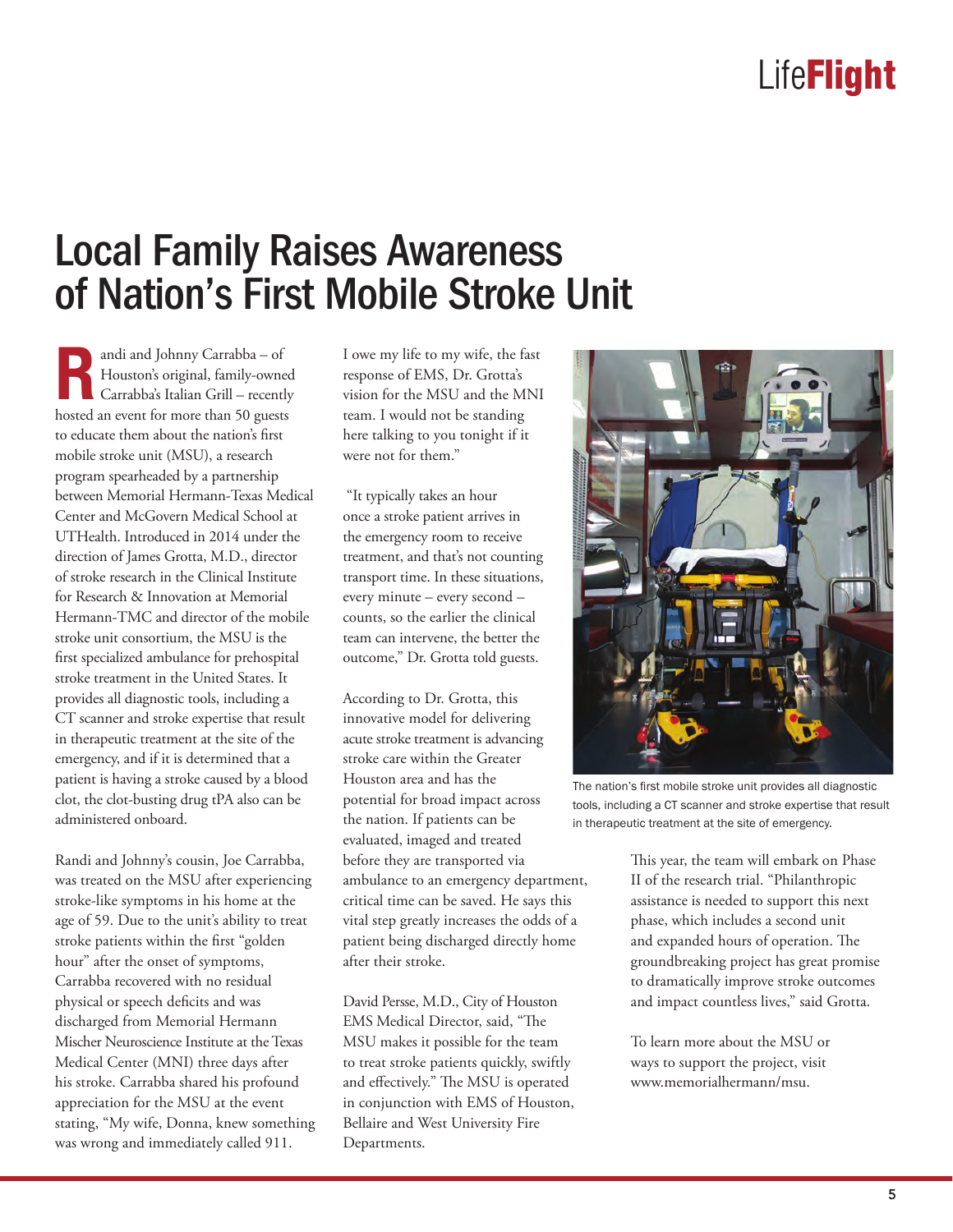### Local Family Raises Awareness of Nation's First Mobile Stroke Unit

**Randi and Johnny Carrabba – of<br>Houston's original, family-owne<br>Carrabba's Italian Grill – recentl** Houston's original, family-owned Carrabba's Italian Grill – recently hosted an event for more than 50 guests to educate them about the nation's first mobile stroke unit (MSU), a research program spearheaded by a partnership between Memorial Hermann-Texas Medical Center and McGovern Medical School at UTHealth. Introduced in 2014 under the direction of James Grotta, M.D., director of stroke research in the Clinical Institute for Research & Innovation at Memorial Hermann-TMC and director of the mobile stroke unit consortium, the MSU is the first specialized ambulance for prehospital stroke treatment in the United States. It provides all diagnostic tools, including a CT scanner and stroke expertise that result in therapeutic treatment at the site of the emergency, and if it is determined that a patient is having a stroke caused by a blood clot, the clot-busting drug tPA also can be administered onboard.

Randi and Johnny's cousin, Joe Carrabba, was treated on the MSU after experiencing stroke-like symptoms in his home at the age of 59. Due to the unit's ability to treat stroke patients within the first "golden hour" after the onset of symptoms, Carrabba recovered with no residual physical or speech deficits and was discharged from Memorial Hermann Mischer Neuroscience Institute at the Texas Medical Center (MNI) three days after his stroke. Carrabba shared his profound appreciation for the MSU at the event stating, "My wife, Donna, knew something was wrong and immediately called 911.

I owe my life to my wife, the fast response of EMS, Dr. Grotta's vision for the MSU and the MNI team. I would not be standing here talking to you tonight if it were not for them."

 "It typically takes an hour once a stroke patient arrives in the emergency room to receive treatment, and that's not counting transport time. In these situations, every minute – every second – counts, so the earlier the clinical team can intervene, the better the outcome," Dr. Grotta told guests.

According to Dr. Grotta, this innovative model for delivering acute stroke treatment is advancing stroke care within the Greater Houston area and has the potential for broad impact across the nation. If patients can be evaluated, imaged and treated before they are transported via ambulance to an emergency department, critical time can be saved. He says this vital step greatly increases the odds of a patient being discharged directly home after their stroke.

David Persse, M.D., City of Houston EMS Medical Director, said, "The MSU makes it possible for the team to treat stroke patients quickly, swiftly and effectively." The MSU is operated in conjunction with EMS of Houston, Bellaire and West University Fire Departments.



The nation's first mobile stroke unit provides all diagnostic tools, including a CT scanner and stroke expertise that result in therapeutic treatment at the site of emergency.

This year, the team will embark on Phase II of the research trial. "Philanthropic assistance is needed to support this next phase, which includes a second unit and expanded hours of operation. The groundbreaking project has great promise to dramatically improve stroke outcomes and impact countless lives," said Grotta.

To learn more about the MSU or ways to support the project, visit www.memorialhermann/msu.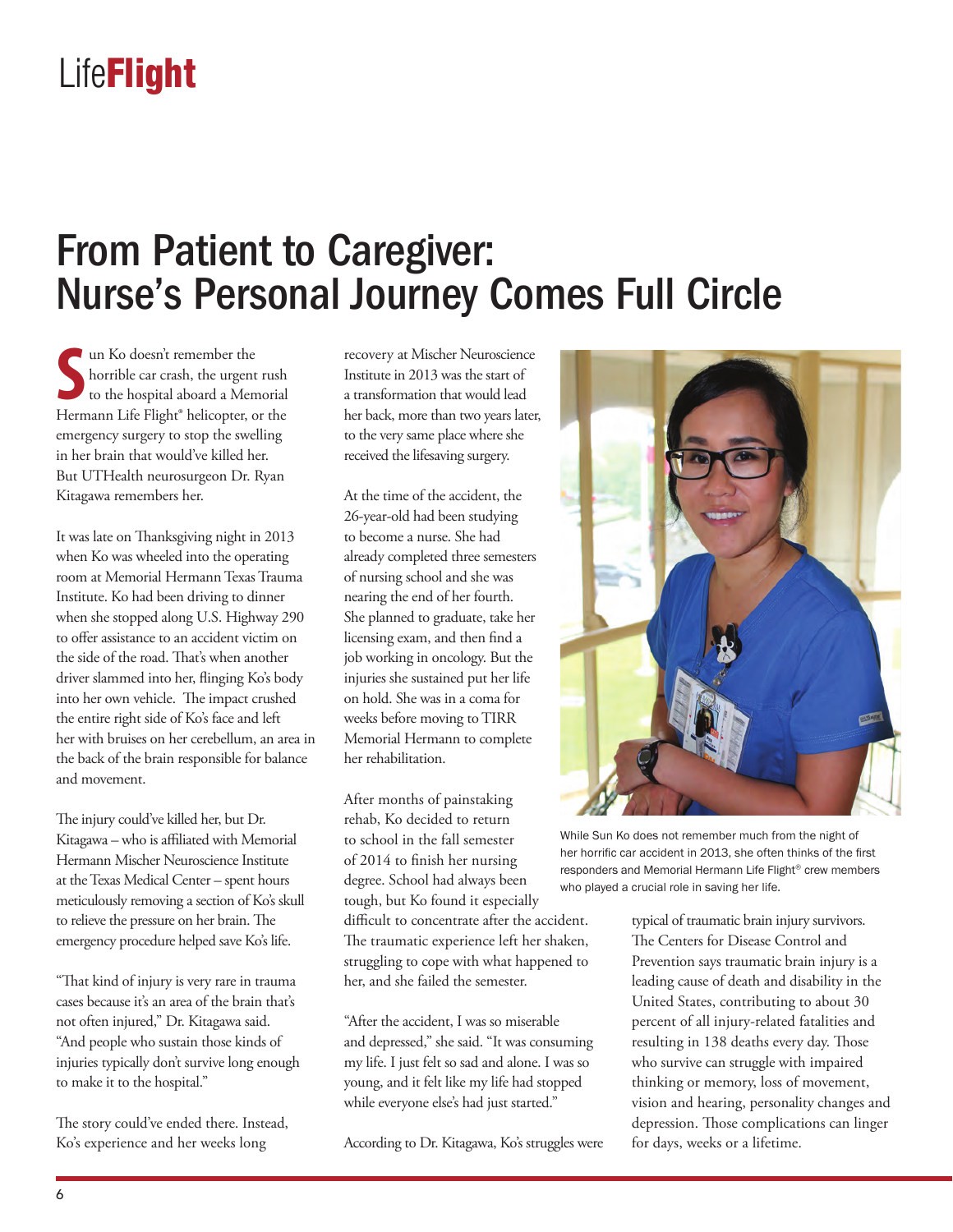## From Patient to Caregiver: Nurse's Personal Journey Comes Full Circle

Im Ko doesn't remember the<br>
to the hospital aboard a Memorial<br>
Hermann Life Flight® helicopter, or the un Ko doesn't remember the horrible car crash, the urgent rush to the hospital aboard a Memorial emergency surgery to stop the swelling in her brain that would've killed her. But UTHealth neurosurgeon Dr. Ryan Kitagawa remembers her.

It was late on Thanksgiving night in 2013 when Ko was wheeled into the operating room at Memorial Hermann Texas Trauma Institute. Ko had been driving to dinner when she stopped along U.S. Highway 290 to offer assistance to an accident victim on the side of the road. That's when another driver slammed into her, flinging Ko's body into her own vehicle. The impact crushed the entire right side of Ko's face and left her with bruises on her cerebellum, an area in the back of the brain responsible for balance and movement.

The injury could've killed her, but Dr. Kitagawa – who is affiliated with Memorial Hermann Mischer Neuroscience Institute at the Texas Medical Center – spent hours meticulously removing a section of Ko's skull to relieve the pressure on her brain. The emergency procedure helped save Ko's life.

"That kind of injury is very rare in trauma cases because it's an area of the brain that's not often injured," Dr. Kitagawa said. "And people who sustain those kinds of injuries typically don't survive long enough to make it to the hospital."

The story could've ended there. Instead, Ko's experience and her weeks long

recovery at Mischer Neuroscience Institute in 2013 was the start of a transformation that would lead her back, more than two years later, to the very same place where she received the lifesaving surgery.

At the time of the accident, the 26-year-old had been studying to become a nurse. She had already completed three semesters of nursing school and she was nearing the end of her fourth. She planned to graduate, take her licensing exam, and then find a job working in oncology. But the injuries she sustained put her life on hold. She was in a coma for weeks before moving to TIRR Memorial Hermann to complete her rehabilitation.

After months of painstaking rehab, Ko decided to return to school in the fall semester of 2014 to finish her nursing degree. School had always been tough, but Ko found it especially difficult to concentrate after the accident. The traumatic experience left her shaken, struggling to cope with what happened to her, and she failed the semester.

"After the accident, I was so miserable and depressed," she said. "It was consuming my life. I just felt so sad and alone. I was so young, and it felt like my life had stopped while everyone else's had just started."

According to Dr. Kitagawa, Ko's struggles were



While Sun Ko does not remember much from the night of her horrific car accident in 2013, she often thinks of the first responders and Memorial Hermann Life Flight® crew members who played a crucial role in saving her life.

typical of traumatic brain injury survivors. The Centers for Disease Control and Prevention says traumatic brain injury is a leading cause of death and disability in the United States, contributing to about 30 percent of all injury-related fatalities and resulting in 138 deaths every day. Those who survive can struggle with impaired thinking or memory, loss of movement, vision and hearing, personality changes and depression. Those complications can linger for days, weeks or a lifetime.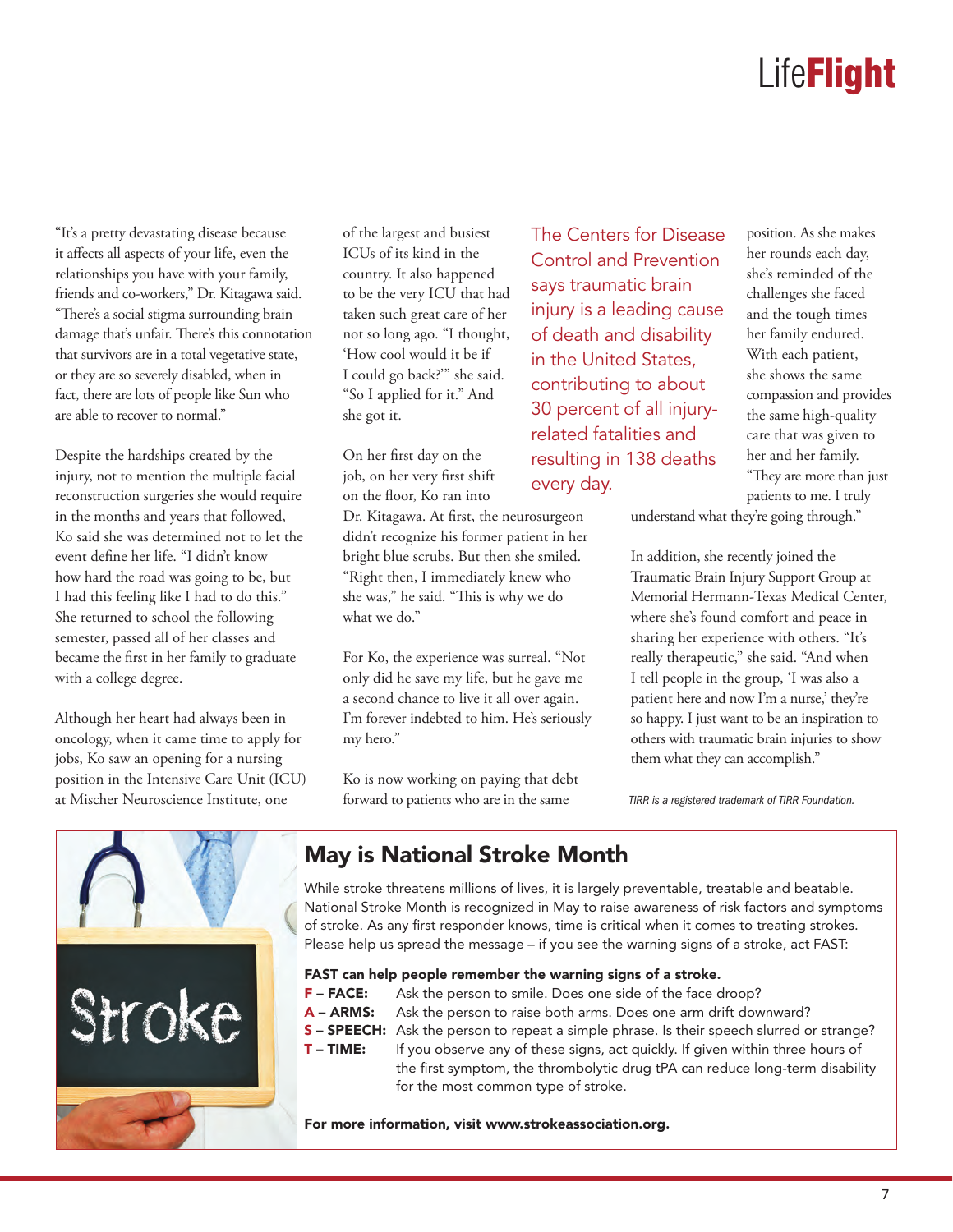"It's a pretty devastating disease because it affects all aspects of your life, even the relationships you have with your family, friends and co-workers," Dr. Kitagawa said. "There's a social stigma surrounding brain damage that's unfair. There's this connotation that survivors are in a total vegetative state, or they are so severely disabled, when in fact, there are lots of people like Sun who are able to recover to normal."

Despite the hardships created by the injury, not to mention the multiple facial reconstruction surgeries she would require in the months and years that followed, Ko said she was determined not to let the event define her life. "I didn't know how hard the road was going to be, but I had this feeling like I had to do this." She returned to school the following semester, passed all of her classes and became the first in her family to graduate with a college degree.

Although her heart had always been in oncology, when it came time to apply for jobs, Ko saw an opening for a nursing position in the Intensive Care Unit (ICU) at Mischer Neuroscience Institute, one

of the largest and busiest ICUs of its kind in the country. It also happened to be the very ICU that had taken such great care of her not so long ago. "I thought, 'How cool would it be if I could go back?'" she said. "So I applied for it." And she got it.

On her first day on the job, on her very first shift on the floor, Ko ran into

Dr. Kitagawa. At first, the neurosurgeon didn't recognize his former patient in her bright blue scrubs. But then she smiled. "Right then, I immediately knew who she was," he said. "This is why we do what we do."

For Ko, the experience was surreal. "Not only did he save my life, but he gave me a second chance to live it all over again. I'm forever indebted to him. He's seriously my hero."

Ko is now working on paying that debt forward to patients who are in the same

The Centers for Disease Control and Prevention says traumatic brain injury is a leading cause of death and disability in the United States, contributing to about 30 percent of all injuryrelated fatalities and resulting in 138 deaths every day.

position. As she makes her rounds each day, she's reminded of the challenges she faced and the tough times her family endured. With each patient, she shows the same compassion and provides the same high-quality care that was given to her and her family. "They are more than just patients to me. I truly

understand what they're going through."

In addition, she recently joined the Traumatic Brain Injury Support Group at Memorial Hermann-Texas Medical Center, where she's found comfort and peace in sharing her experience with others. "It's really therapeutic," she said. "And when I tell people in the group, 'I was also a patient here and now I'm a nurse,' they're so happy. I just want to be an inspiration to others with traumatic brain injuries to show them what they can accomplish."

*TIRR is a registered trademark of TIRR Foundation.*



#### May is National Stroke Month

While stroke threatens millions of lives, it is largely preventable, treatable and beatable. National Stroke Month is recognized in May to raise awareness of risk factors and symptoms of stroke. As any first responder knows, time is critical when it comes to treating strokes. Please help us spread the message – if you see the warning signs of a stroke, act FAST:

#### FAST can help people remember the warning signs of a stroke.

- **F FACE:** Ask the person to smile. Does one side of the face droop?
- A ARMS: Ask the person to raise both arms. Does one arm drift downward?
- **S SPEECH:** Ask the person to repeat a simple phrase. Is their speech slurred or strange?
- **T TIME:** If you observe any of these signs, act quickly. If given within three hours of the first symptom, the thrombolytic drug tPA can reduce long-term disability for the most common type of stroke.

For more information, visit www.strokeassociation.org.